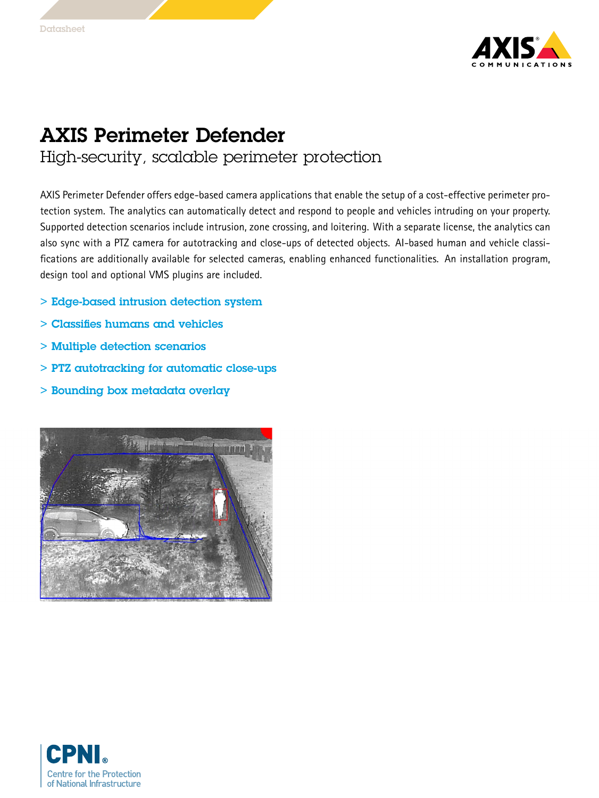

## AXIS Perimeter Defender High-security, scalable perimeter protection

AXIS Perimeter Defender offers edge-based camera applications that enable the setup of <sup>a</sup> cost-effective perimeter protection system. The analytics can automatically detect and respond to people and vehicles intruding on your property. Supported detection scenarios include intrusion, zone crossing, and loitering. With <sup>a</sup> separate license, the analytics can also sync with <sup>a</sup> PTZ camera for autotracking and close-ups of detected objects. AI-based human and vehicle classifications are additionally available for selected cameras, enabling enhanced functionalities. An installation program, design tool and optional VMS plugins are included.

- > Edge-based intrusion detection system
- > Classifies humans and vehicles
- > Multiple detection scenarios
- > PTZ autotracking for automatic close-ups
- > Bounding box metadata overlay